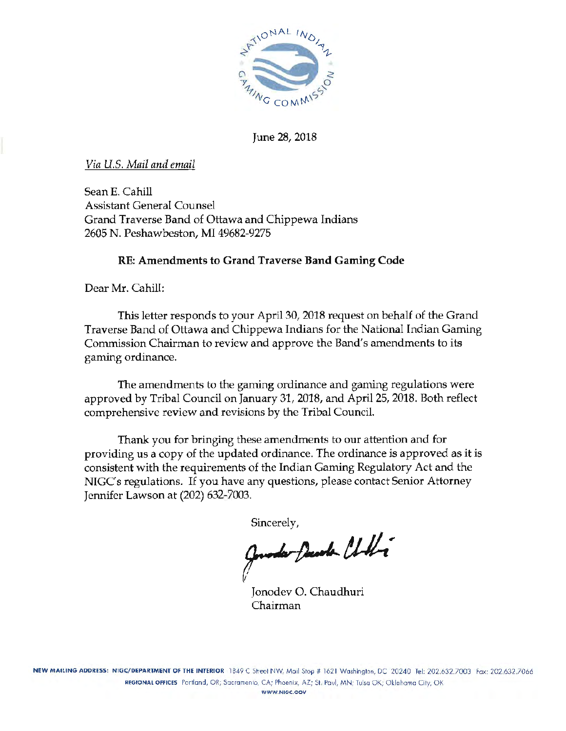

June 28, 2018

*Via U.S. Mail and email* 

SeanE. Cahill Assistant General Counsel Grand Traverse Band of Ottawa and Chippewa Indians 2605 N. Peshawbeston, MI 49682-9275

### RE: Amendments to Grand Traverse Band Gaming Code

Dear Mr. Cahill:

This letter responds to your April 30, 2018 request on behalf of the Grand Traverse Band of Ottawa and Chippewa Indians for the National Indian Gaming Commission Chairman to review and approve the Band's amendments to its gaming ordinance.

The amendments to the gaming ordinance and gaming regulations were approved by Tribal Council on January 31, 2018, and April 25, 2018. Both reflect comprehensive review and revisions by the Tribal Council.

Thank you for bringing these amendments to our attention and for providing us a copy of the updated ordinance. The ordinance is approved as it is consistent with the requirements of the Indian Gaming Regulatory Act and the NIGC's regulations. If you have any questions, please contact Senior Attorney Jennifer Lawson at (202) 632-7003.

Sincerely,

Jourda Decode Chilli

Jonodev 0. Chaudhuri Chairman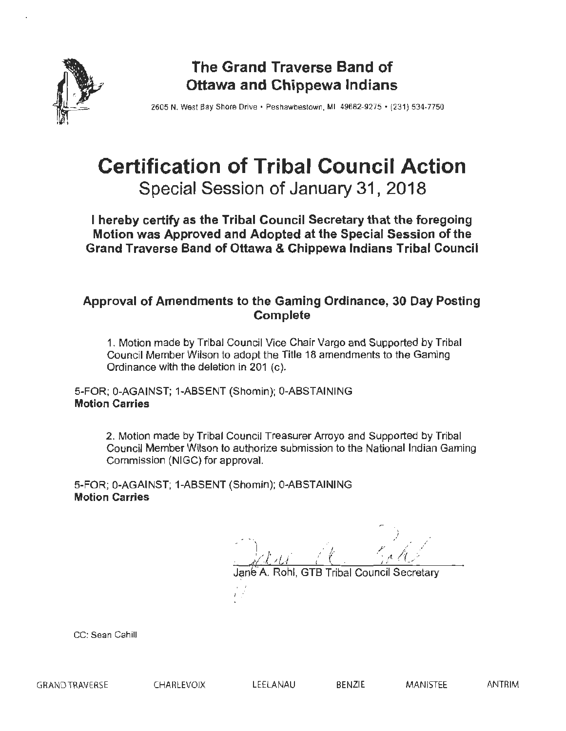

# **The Grand Traverse Band of Ottawa and Chippewa Indians**

2605 N. West Bay Shore Drive • Peshawbestown. Ml 49682-9275 • (231) 534-7750

# **Certification of Tribal Council Action Special Session of January 31, 2018**

**I hereby certify as the Tribal Council Secretary that the foregoing Motion was Approved and Adopted at the Special Session of the Grand Traverse Band of Ottawa & Chippewa Indians Tribal Council** 

## **Approval of Amendments to the Gaming Ordinance, 30 Day Posting Complete**

1. Motion made by Tribal Council Vice Chair Vargo and Supported by Tribal Council Member Wilson to adopt the Title 18 amendments to the Gaming Ordinance with the deletion in 201 (c).

5-FOR; 0-AGAINST; 1-ABSENT (Shomin); 0-ABSTAINING **Motion Carries** 

> 2. Motion made by Tribal Council Treasurer Arroyo and Supported by Tribal Council Member Wilson to authorize submission to the National Indian Gaming Commission (NIGC) for approval.

5-FOR; 0-AGAINST; 1-ABSENT (Shomin); 0-ABSTAINING **Motion Carries** 

Rohl, GTB Tribal Council Secretary

CC: Sean Cahill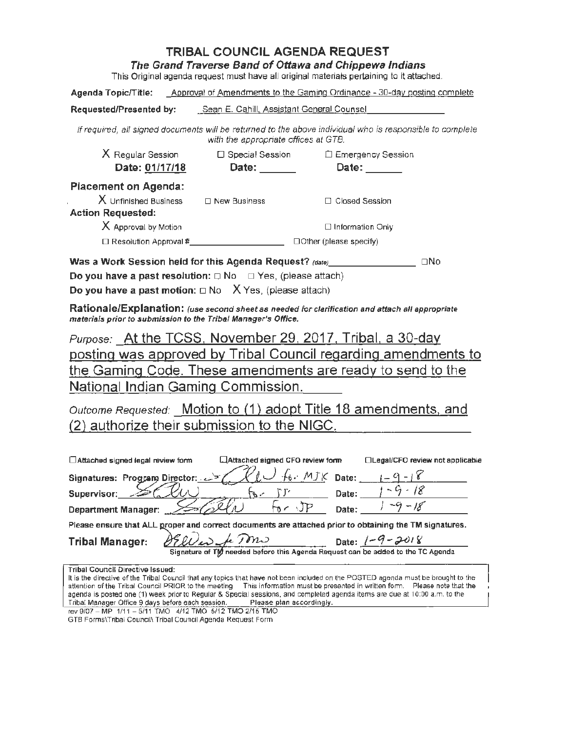The Grand Traverse Band of Ottawa and Chippewa Indians

This Original agenda request must have all original materials pertaining to it attached.

Agenda Topic/Title: Approval of Amendments to the Gaming Ordinance - 30-day posting complete

#### Requested/Presented by: Sean E. Cahill. Assistant General Counsel

If required, a/I signed documents will be returned to the above individual who is responsible to complete with the appropriate offices at GTB.

| $X$ Regular Session<br>Date: 01/17/18 | □ Special Session<br>Date: | □ Emergency Session<br>Date:  |
|---------------------------------------|----------------------------|-------------------------------|
| <b>Placement on Agenda:</b>           |                            |                               |
| $X$ Unfinished Business               | $\Box$ New Business        | $\Box$ Closed Session         |
| <b>Action Requested:</b>              |                            |                               |
| X Approval by Motion                  |                            | $\Box$ Information Only       |
| $\Box$ Resolution Approval #          |                            | $\Box$ Other (please specify) |

Was a Work Session held for this Agenda Request? (dateJ \_\_\_\_\_\_\_ \_ oNo

Do you have a past resolution:  $\Box$  No  $\Box$  Yes, (please attach)

Do you have a past motion:  $\square$  No  $X$  Yes, (please attach)

Rationale/Explanation: (use second sheet as needed for clarification and attach all appropriate materials prior to submission to the Tribal Manager's Office.

Purpose: At the TCSS, November 29, 2017, Tribal, a 30-day posting was approved by Tribal Council regarding amendments to the Gaming Code. These amendments are ready to send to the National Indian Gaming Commission.

Outcome Requested: Motion to (1) adopt Title 18 amendments, and (2) authorize their submission to the NIGC.

| $\Box$ Attached signed legal review form | LAttached signed CFO review form | □Legal/CFO review not applicable |
|------------------------------------------|----------------------------------|----------------------------------|
| Signatures: Program Director: 27         | $\sqrt{6}$ . MJK Date:           |                                  |
| Supervisor:                              | Date:                            |                                  |
| <b>Department Manager:</b>               | Date:                            |                                  |

|                                                                             | Please ensure that ALL groper and correct documents are attached prior to obtaining the TM signatures. |
|-----------------------------------------------------------------------------|--------------------------------------------------------------------------------------------------------|
| Tribal Manager: $\frac{\partial \mathcal{L}}{\partial \omega}$ for $\omega$ | Date: $(-9 - 2018)$                                                                                    |
|                                                                             | Signature of TW needed before this Agenda Request can be added to the TC Agenda                        |

|  | Tribal Council Directive Issued: I |  |
|--|------------------------------------|--|

It is the directive of the Tribal Council that any topics that have not been included on the POSTED agenda must be brought to the attention of the Tribal Council PRIOR to the meeting. This information must be presented in written form. Please note that the agenda is posted one (1) week prior to Regular & Special sessions, and completed agenda items are due at 10:00 a.m. to the<br>Tribal Manager Office 9 days before each session. Please ptan accordingly. Tribal Manager Office 9 days before each session.

rev 9107 - MP 1111 - 5111 TMO 4/12 TMO 5/12 TMO 2115 TMO

GTB Forms\Tribal Council\ Tribal Council Agenda Request Form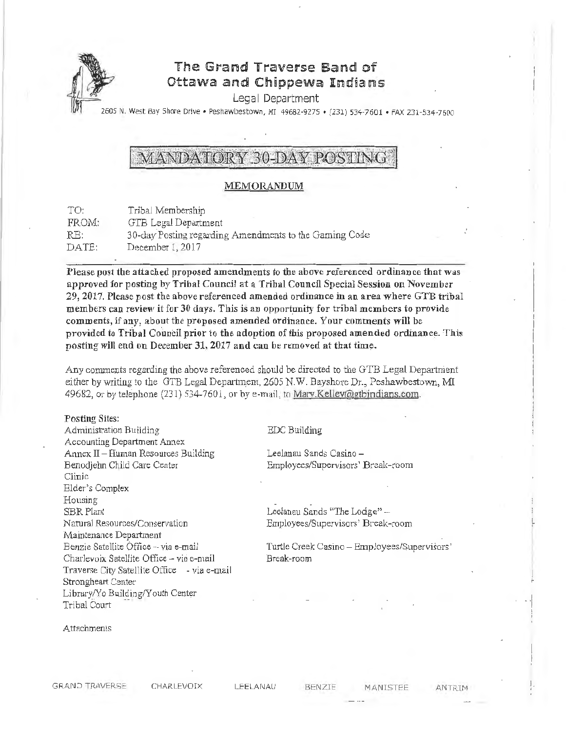

## The Grand Traverse Band of Ottawa and Chippewa Indians

Legal Department

2605 N. West Bay Shore Drive • Peshawbestown, MI 49682-9275 • (231) 53~·7601 • FAX 231-534-7600

# MANDATORY 30-DAY POSTING

#### MEMORANDUM

| TO:   | Tribal Membership                                      |
|-------|--------------------------------------------------------|
| FROM: | GTB Legal Department                                   |
| RE:   | 30-day Posting regarding Amendments to the Gaming Code |
| DATE: | December 1, 2017                                       |

Please post the attached proposed amendments to the above referenced ordinance that was approved for posting by Tribal Council at a Tribal Council Special Session on November 29, 2017. Please post the above referenced amended ordinance in an area where GTB tribal members can review it for 30 days. This is an opportunity for tribal members to provide comments, if any, about the proposed amended ordinance. \'our comments will be provided to Tribal Coundl prior to the adoption of this proposed amended ordinance. *This*  posting will end on December 31, 2017 and can be removed at that time.

Any comments regarding the above referenced should be directed to the GTB Legal Department either by writing to the GTB Legal Department, 2605 N.W. Bayshore Dr.,, Peshawbestown, MI 49682, or by telephone (231) 534-7601, or by e-mail, to Mary.Kellev@gtbindians.com.

#### Posting Sites:

Administration Building Accounting Department Annex Annex  $II$  - Human Resources Building Benodjebn Child Care Center Clinic Elder's Complex Housing SBR Plant Natural Resources/Conservation Maintenance Department Benzie Satellite Office-via e-mail Charlevoix Satellite Office - via e-mail Traverse City Satellite Office - via e-mail Strongheart Center Library/Yo Building/Youth Center Tribal Court

#### EDC Building

Leelanau Sands Casino - Employees/Supervisors' Break-room

Leelanau Sands "The Lodge" -Employees/Supervisors' Break-room

Turtle Creek Casino - Employees/Supervisors' Break-room

Attachments

LEELANAU BENZIE MANISTEE ANTRIM !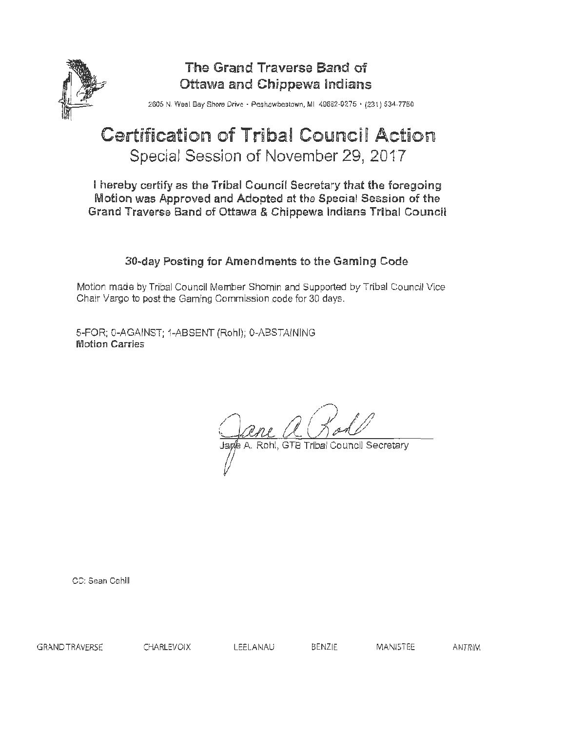

# The Grand Traverse Band of Ottawa and Chippewa Indians

2605 N. Wesl Bay Shore Drive · Peshawbestown, MI 49682-9275 · (231) 534-7750

# **Certification of Tribal Council Action** Special Session of November 29, 2017

I hereby certify as the Tribal Council Secretary that the foregoing Motion was Approved and Adopted at the Special Session of the Grand Traverse Band of Ottawa & Chippewa Indians Tribal Council

## 30-day Posting for Amendments to the Gaming Code

Motion made by Tribal Council Member Shomin and Supported by Tribal Council Vice Chair Vargo to post the Gaming Commission code for 30 days.

5-FOR; 0-AGAINST; 1-ABSENT (Rohl); 0-ABSTAINING Motion Carries

Rohl, GTB Tribal Council Secretary

CC: Sean Cahill

GRAND TRAVERSE CHARLEVOIX LEELANAU BENZIE MANISTEE ANTRIM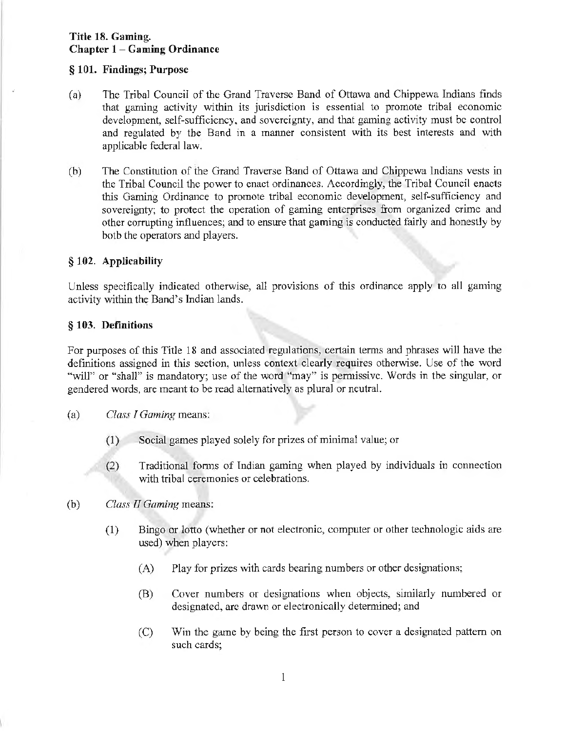#### § 101. Findings; Purpose

- (a) The Tribal Council of the Grand Traverse Band of Ottawa and Chippewa Indians finds that gaming activity within its jurisdiction is essential to promote tribal economic development, self-sufficiency, and sovereignty, and that gaming activity must be control and regulated by the Band in a manner consistent with its best interests and with applicable federal law.
- (b) The Constitution of the Grand Traverse Band of Ottawa and Chippewa Indians vests in the Tribal Council the power to enact ordinances. Accordingly, the Tribal Council enacts this Gaming Ordinance to promote tribal economic development, self-sufficiency and sovereignty; to protect the operation of gaming enterprises from organized crime and other corrupting influences; and to ensure that gaming is conducted fairly and honestly by both the operators and players.

#### § 102. Applicability

Unless specifically indicated otherwise, all provisions of this ordinance apply to all gaming activity within the Band's Indian lands.

#### § 103. Definitions

For purposes of this Title 18 and associated regulations, certain terms and phrases will have the definitions assigned in this section, unless context clearly requires otherwise. Use of the word "will" or "shall" is mandatory; use of the word "may" is permissive. Words in the singular, or gendered words, are meant to be read alternatively as plural or neutral.

- (a) *Class I Gaming* means:
	- (1) Social games played solely for prizes of minimal value; or
	- (2) Traditional fonns of Indian gaming when played by individuals in connection with tribal ceremonies or celebrations.
- (b) *Class* II *Gaming* means:
	- (1) Bingo or lotto (whether or not electronic, computer or other technologic aids are used) when players:
		- (A) Play for prizes with cards bearing numbers or other designations;
		- (B) Cover numbers or designations when objects, similarly numbered or designated, are drawn or electronically determined; and
		- (C) Win the game by being the first person to cover a designated pattern on such cards;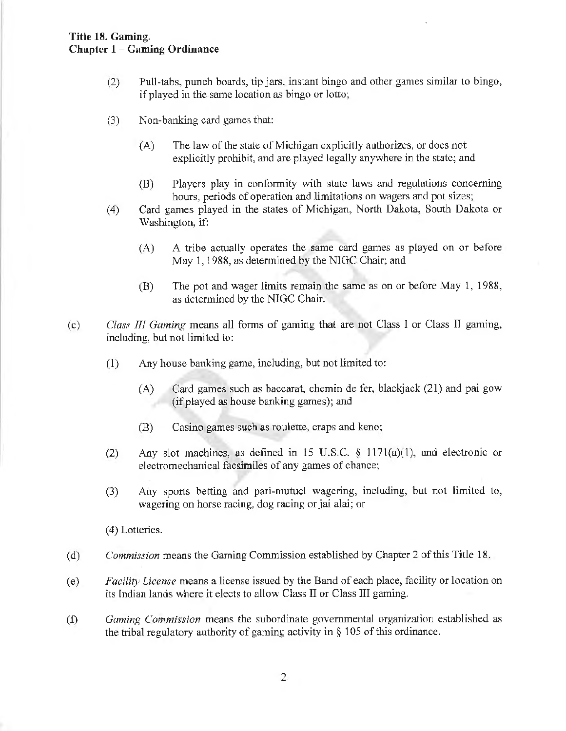- (2) Pull-tabs, punch boards, tip jars, instant bingo and other games similar to bingo, if played in the same location as bingo or lotto;
- (3) Non-banking card games that:
	- (A) The law of the state of Michigan explicitly authorizes, or does not explicitly prohibit, and are played legally anywhere in the state; and
	- (B) Players play in conformity with state laws and regulations concerning hours, periods of operation and limitations on wagers and pot sizes;
- (4) Card games played in the states of Michigan, North Dakota, South Dakota or Washington, if:
	- (A) A tribe actually operates the same card games as played on or before May 1, 1988, as determined by the NIGC Chair; and
	- (B) The pot and wager limits remain the same as on or before May 1, 1988, as determined by the NIGC Chair.
- (c) *Class III Gaming* means all forms of gaming that are not Class I or Class II gaming, including, but not limited to:
	- $(1)$  Any house banking game, including, but not limited to:
		- (A) Card games such as baccarat, chemin de fer, blackjack (21) and pai gow (if played as house banking games); and
		- (B) Casino games such as roulette, craps and keno;
	- (2) Any slot machines, as defined in 15 U.S.C.  $\S$  1171(a)(1), and electronic or electromechanical facsimiles of any games of chance;
	- (3) Any sports betting and pari~mutuel wagering, including, but not limited to, wagering on horse racing, dog racing or jai alai; or

(4) Lotteries.

- (d) *Commission* means the Gaming Commission established by Chapter 2 of this Title 18.
- ( e) *Facility License* means a license issued by the Band of each place, facility or location on its Indian lands where it elects to allow Class II or Class III gaming.
- (f) *Gaming Commission* means the subordinate governmental organization established as the tribal regulatory authority of gaming activity in § 105 of this ordinance.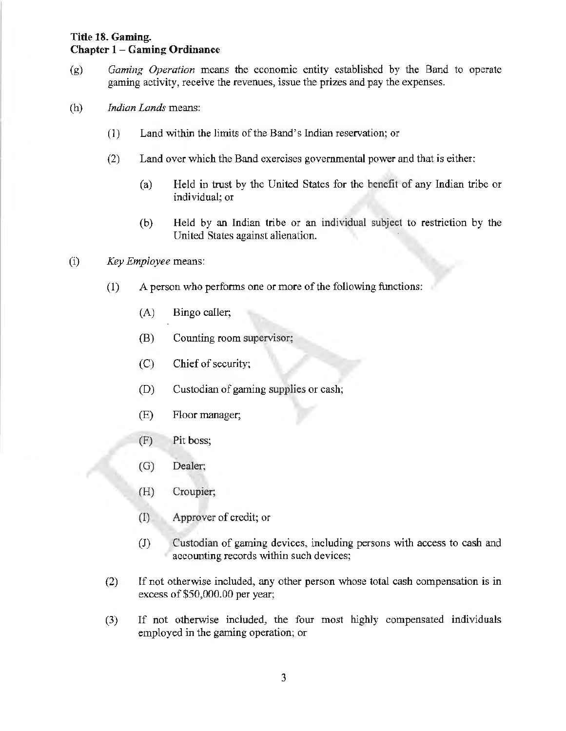- (g) *Gaming Operation* means the economic entity established by the Band to operate gaming activity, receive the revenues, issue the prizes and pay the expenses.
- (h) *Indian Lands* means:
	- (1) Land within the limits of the Band's Indian reservation; or
	- (2) Land over which the Band exercises governmental power and that is either:
		- (a) Held in trust by the United States for the benefit of any Indian tribe or individual; or
		- (b) Held by an Indian tribe or an individual subject to restriction by the United States against alienation.
- (i) *Key Employee* means:
	- (1) A person who performs one or more of the following functions:
		- (A) Bingo caller;
		- (B) Counting room supervisor;
		- $(C)$  Chief of security;
		- (D) Custodian of gaming supplies or cash;
		- (E) Floor manager;
		- (F) Pit boss;
		- (G) Dealer;
		- (H) Croupier;
		- (I) Approver of credit; or
		- (J) Custodian of gaming devices, including persons with access to cash and accounting records within such devices;
	- (2) If not otherwise included, any other person whose total cash compensation is in excess of \$50,000.00 per year;
	- (3) If not otherwise included, the four most highly compensated individuals employed in the gaming operation; or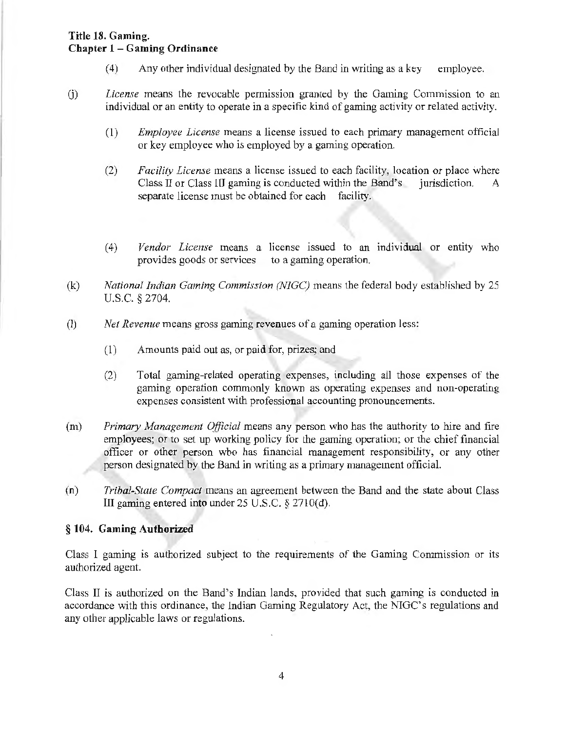- (4) Any other individual designated by the Band in writing as a key employee.
- G) *License* means the revocable permission granted by the Gaming Commission to an individual or an entity to operate in a specific kind of gaming activity or related activity.
	- (I) *Employee License* means a license issued to each primary management official or key employee who is employed by a gaming operation.
	- (2) *Facility License* means a license issued to each facility, location or place where Class II or Class III gaming is conducted within the Band's jurisdiction. A separate license must be obtained for each facility.
	- (4) *Vendor License* means a license issued to an individual or entity who provides goods or services to a gaming operation.
- (k) *National Indian Gaming Commission (NJGC)* means the federal body established by 25 U.S.C. *§* 2704.
- (I) *Net Revenue* means gross gaming revenues of a gaming operation less:
	- (1) Amounts paid out as, or paid for, prizes; and
	- (2) Total gaming-related operating expenses, including all those expenses of the gaming operation commonly known as operating expenses and non-operating expenses consistent with professional accounting pronouncements.
- (m) *Primary Management Official* means any person who has the authority to hire and fire employees; or to set up working policy for the gaming operation; or the chief financial officer or other person who has financial management responsibility, or any other person designated by the Band in writing as a primary management official.
- (n) *Tribal-State Compact* means an agreement between the Band and the state about Class **ill** gaming entered into under 25 U.S.C. *§* 2710(d).

#### § **l 04. Gaming Authorized**

Class l gaming is authorized subject to the requirements of the Gaming Commission or its authorized agent.

Class II is authorized on the Band's Indian lands, provided that such gaming is conducted in accordance with this ordinance, the Indian Gaming Regulatory Act, the NIGC's regulations and any other applicable laws or regulations.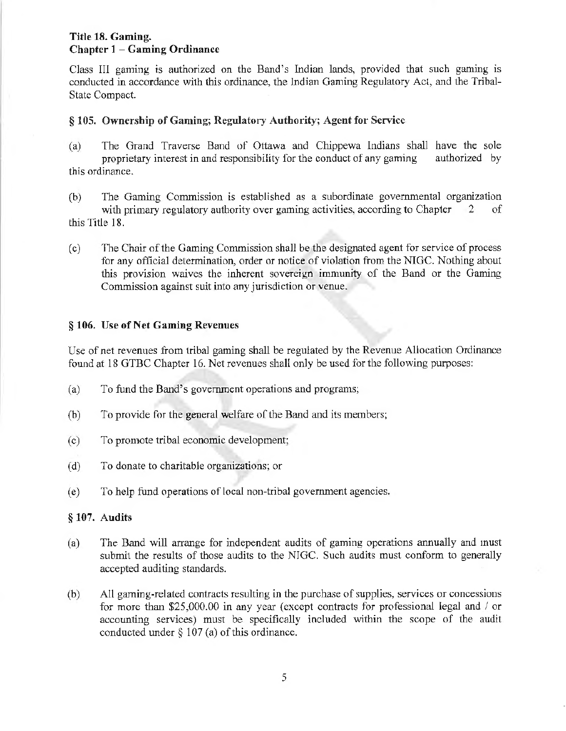Class III gaming is authorized on the Band's Indian lands, provided that such gaming is conducted in accordance with this ordinance, the Indian Gaming Regulatory Act, and the Tribal-State Compact.

### § 105. Ownership of Gaming; Regulatory Authority; Agent for Service

- (a) The Grand Traverse Band of Ottawa and Chippewa Indians shall have the sole proprietary interest in and responsibility for the conduct of any gaming authorized by proprietary interest in and responsibility for the conduct of any gaming this ordinance.
- (b) The Gaming Commission is established as a subordinate governmental organization with primary regulatory authority over gaming activities, according to Chapter  $2$  of this Title 18.
- ( c) The Chair of the Gaming Conunission shall be the designated agent for service of process for any official determination, order or notice of violation from the NIGC. Nothing about this provision waives the inherent sovereign immunity of the Band or the Gaming Commission against suit into any jurisdiction or venue.

### § 106. Use of Net Gaming Revenues

Use of net revenues from tribal gaming shall be regulated by the Revenue Allocation Ordinance found at 18 GTBC Chapter 16. Net revenues shall only be used for the following purposes:

- (a) To fund the Band's govenunent operations and programs;
- (b) To provide for the general welfare of the Band and its members;
- ( c) To promote tribal economic development;
- (d) To donate to charitable organizations; or
- (e) To help fund operations of local non-tribal government agencies.

#### § 107. Audits

- (a) The Band will arrange for independent audits of gaming operations annually and must submit the results of those audits to the NJGC. Such audits must conform to generally accepted auditing standards.
- (b) All gaming-related contracts resulting in the purchase of supplies, services or concessions for more than \$25,000.00 in any year (except contracts for professional legal and  $\ell$  or accounting services) must be specifically included within the scope of the audit conducted under  $\S$  107 (a) of this ordinance.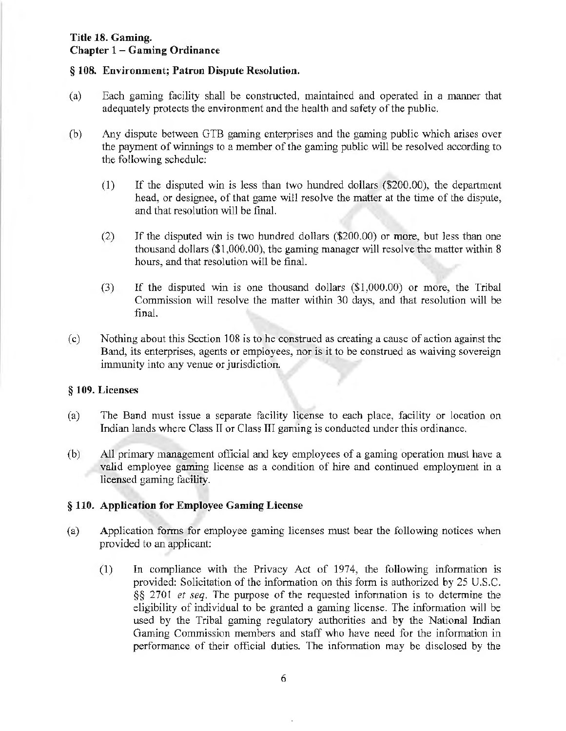#### § 108. Environment; Patron Dispute Resolution.

- (a) Each gaming facility shall be constructed, maintained and operated in a manner that adequately protects the environment and the health and safety of the public.
- (b) Any dispute between G TB gaming enterprises and the gaming public which arises over the payment of winnings to a member of the gaming public will be resolved according to the following schedule:
	- (1) If the disputed win is less than two hundred dollars (\$200.00), the department head, or designee, of that game will resolve the matter at the time of the dispute, and that resolution will be final.
	- (2) If the disputed win is two hundred dollars (\$200.00) or more, but Jess than one thousand dollars (\$1,000.00), the gaming manager will resolve the matter within 8 hours, and that resolution will be final.
	- (3) If the disputed win is one thousand dollars (\$1,000.00) or more, the Tribal Commission will resolve the matter within 30 days, and that resolution will be final.
- (c) Nothing about this Section 108 is to be construed as creating a cause of action against the Band, its enterprises, agents or employees, nor is it to be construed as waiving sovereign immunity into any venue or jurisdiction.

#### § 109. Licenses

- (a) The Band must issue a separate facility license to each place, facility or location on Indian lands where Class II or Class III gaming is conducted under this ordinance.
- (b) All primary management official and key employees of a gaming operation must have a valid employee gaming license as a condition of hire and continued employment in a licensed gaming facility.

#### § 110. Application for Emp'loyee Gaming License

- (a) Application forms for employee gaming licenses must bear the following notices when provided to an applicant:
	- (1) In compliance with the Privacy Act of 1974, the following information is provided: Solicitation of the information on this form is authorized by 25 U.S.C. §§ 2701 *et seq.* The purpose of the requested information is to determine the eligibility of individual to be granted a gaming license. The information will be used by the Tribal gaming regulatory authorities and by the National Indian Gaming Commission members and staff who have need for the information in performance of their official duties. The information may be disclosed by the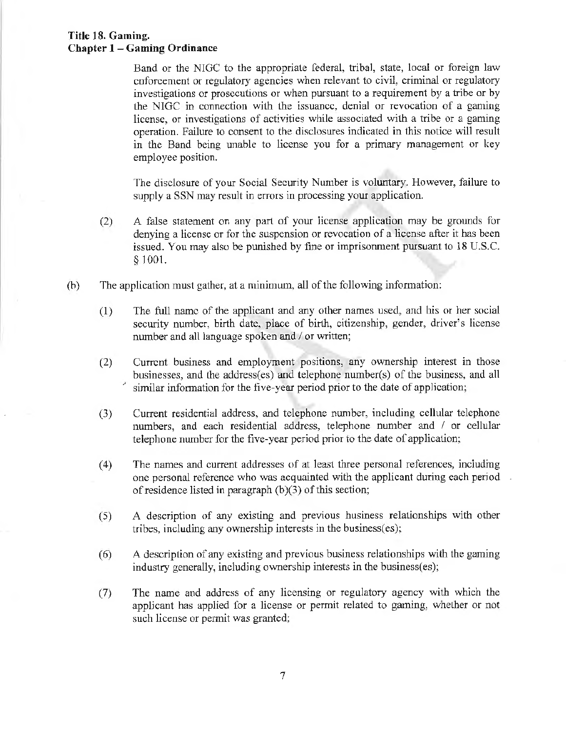Band or the NIGC to the appropriate federal, tribal, state, local or foreign law enforcement or regulatory agencies when relevant to civil, criminal or regulatory investigations or prosecutions or when pursuant to a requirement by a tribe or by the NlGC in connection with the issuance, denial or revocation of a gaming license, or investigations of activities while associated with a tribe or a gaming operation. Failure to consent to the disclosures indicated in this notice will result in the Band being unable to license you for a primary management or key employee position.

The disclosure of your Social Security Number is voluntary. However, failure to supply a SSN may result in errors in processing your application.

- (2) A false statement on any part of your license application may be grounds for denying a license or for the suspension or revocation of a license after it has been issued. You may also be punished by fine or imprisorunent pursuant to 18 U.S.C. § 1001.
- (b) The application must gather, at a minimum, all of the following information:
	- ( 1) The full name of the applicant and any other names used, and his or her social security number, birth date, place of birth, citizenship, gender, driver's license number and all language spoken and / or written;
	- (2) Current business and employment positions, any ownership interest in those businesses, and the address(es) and telephone number(s) of the business, and all similar information for the five-year period prior to the date of application;
	- (3) Current residential address, and telephone number, including cellular telephone numbers, and each residential address, telephone number and / or cellular telephone nwnber for the five-year period prior to the date of application;
	- (4) The names and current addresses of at least three personal references, including one personal reference who was acquainted with the applicant during each period of residence listed in paragraph (b)(3) of this section;
	- (5) A description of any existing and previous business relationships with other tribes, including any ownership interests in the business(es);
	- (6) A description of any existing and previous business relationships with the gaming industry generally, including ownership interests in the business(es);
	- (7) The name and address of any licensing or regulatory agency with which the applicant has applied for a license or permit related to gaming, whether or not such license or permit was granted;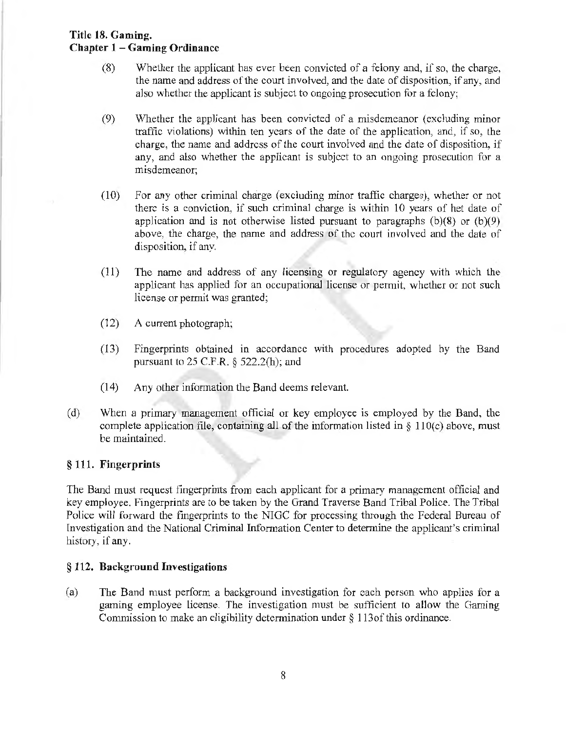- (8) Whether the applicant has ever been convicted of a felony and, if so, the charge, the name and address of the court involved, and the date of disposition, if any, and also whether the applicant is subject to ongoing prosecution for a felony;
- $(9)$  Whether the applicant has been convicted of a misdemeanor (excluding minor traffic violations) within ten years of the date of the application, and, if so, the charge, the name and address of the court involved and the date of disposition, if any, and also whether the applicant is subject to an ongoing prosecution for a misdemeanor;
- (10) For any other criminal charge (excluding minor traffic charges), whether or not there is a conviction, if such criminal charge is within 10 years of het date of application and is not otherwise listed pursuant to paragraphs  $(b)(8)$  or  $(b)(9)$ above, the charge, the name and address of the court involved and the date of disposition, if any.
- (11) The name and address of any licensing or regulatory agency with which the applicant has applied for an occupational license or permit, whether or not such license or permit was granted;
- (12) A current photograph;
- ( 13) Fingerprints obtained in accordance with procedures adopted by the Band pursuant to  $25$  C.F.R. §  $522.2(h)$ ; and
- (14) Any other information the Band deems relevant
- (d) When a primary management official or key employee is employed by the Band, the complete application file, containing all of the information listed in  $\S$  110(c) above, must be maintained.

### § **111. Fingerprints**

The Band must request fingerprints from each applicant for a primary management official and key employee. Fingerprints are to be taken by the Grand Traverse Band Tribal Police. The Tribal Police will forward the fingerprints to the NIGC for processing through the Federal Bureau of Investigation and the National Criminal Information Center to determine the applicant's criminal history, if any.

#### § **112. Background Investigations**

(a) The Band must perform a background investigation for each person who applies for a gaming employee license. The investigation must be sufficient to allow the Gaming Commission to make an eligibility determination under§ l 13of this ordinance.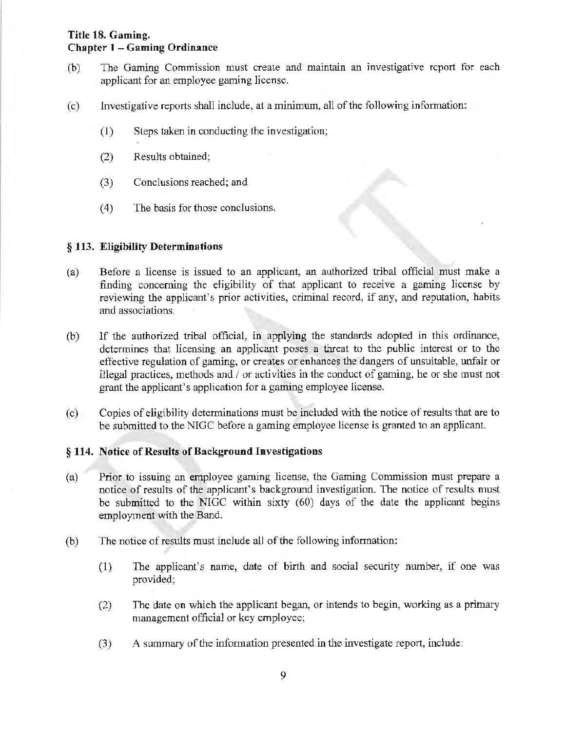- (b) The Gaming Commission must create and maintain an investigative report for each applicant for an employee gaming license.
- (c) Investigative reports shall include, at a minimwn, all of the following information:
	- $(1)$  Steps taken in conducting the investigation;
	- (2) Results obtained;
	- (3) Conclusions reached; and
	- ( 4) The basis for those conclusions.

### § 113. Eligibility Determinations

- (a) Before a license is issued to an applicant, an authorized tribal official must make a finding concerning the eligibility of that applicant to receive a gaming license by reviewing the applicant's prior activities, criminal record, if any, and reputation, habits and associations.
- (b) If the authorized tribal official, in applying the standards adopted in this ordinance, determines that licensing an applicant poses a threat to the public interest or to the effective regulation of gaming, or creates or enhances the dangers of unsuitable, unfair or illegal practices, methods and  $\ell$  or activities in the conduct of gaming, he or she must not grant the applicant's application for a gaming employee license.
- ( c) Copies of eligibility determinations must be included with the notice of results that are to be submitted to the NIGC before a gaming employee license is granted to an applicant.

#### § 114. Notice of Results of Background Investigations

- (a) Prior to issuing an employee gaming license, the Gaming Commission must prepare a notice of results of the applicant's background investigation. The notice of results must be submitted to the NIGC within sixty (60) days of the date the applicant begins employment with the Band.
- (b) The notice of results must include all of the following information:
	- (1) The applicant's name, date of birth and social security number, if one was provided;
	- (2) The date on which the applicant began, or intends to begin, working as a primary management official or key employee;
	- (3) A summary of the information presented in the investigate report, include: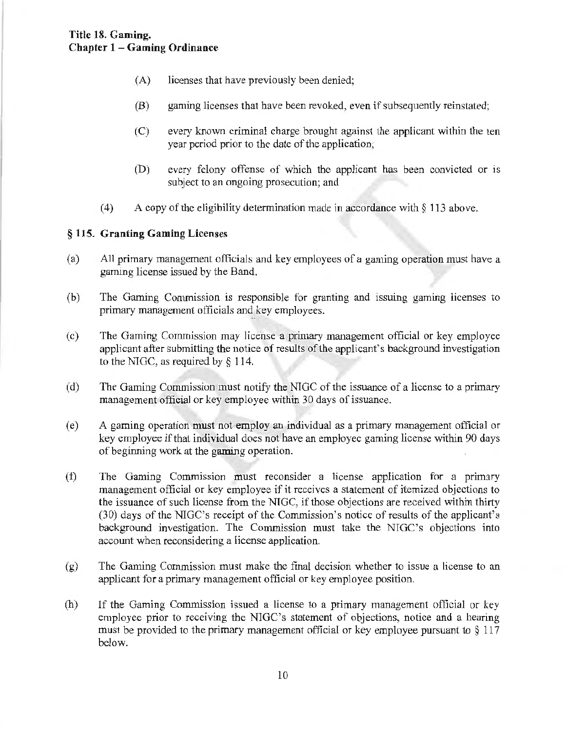- (A) licenses that have previously been denied;
- (B) gaming licenses that have been revoked, even if subsequently reinstated;
- (C) every known criminal charge brought against the applicant within the ten year period prior to the date of the application;
- (D) every felony offense of which the applicant has been convicted or 1s subject to an ongoing prosecution; and
- ( 4) A copy of the eligibility determination made in accordance with *§* 113 above.

### § 115. Granting Gaming Licenses

- (a) All primary management officials and key employees of a gaming operation must have a gaming license issued by the Band.
- (b) The Gaming Commission is responsible for granting and issuing gaming licenses to primary management officials and key employees.
- (c) The Gaming Commission may license a primary management official or key employee applicant after submitting the notice of results of the applicant's background investigation to the NIGC, as required by§ 114.
- (d) The Gaming Commission must notify the NTGC of the issuance of a license to a primary management official or key employee within 30 days of issuance.
- (e) A gaming operation must not employ an .individual as a primary management official or key employee if that individual does not have an employee gaming license within 90 days of beginning work at the gaming operation.
- (f) The Gaming Commission must reconsider a license application for a primary management official or key employee if it receives a statement of itemized objections to the issuance of such license from the NTGC, if those objections are received within thirty (30) days of the NIGC's receipt of the Commission's notice of results of the applicant's background investigation. The Commission must take the NIGC's objections into account when reconsidering a license application.
- $(g)$  The Gaming Commission must make the final decision whether to issue a license to an applicant for a primary management official or key employee position.
- (h) If the Gaming Commission issued a license to a primary management official or key employee prior to receiving the NIGC's statement of objections, notice and a hearing must be provided to the primary management official or key employee pursuant to  $\S 117$ below.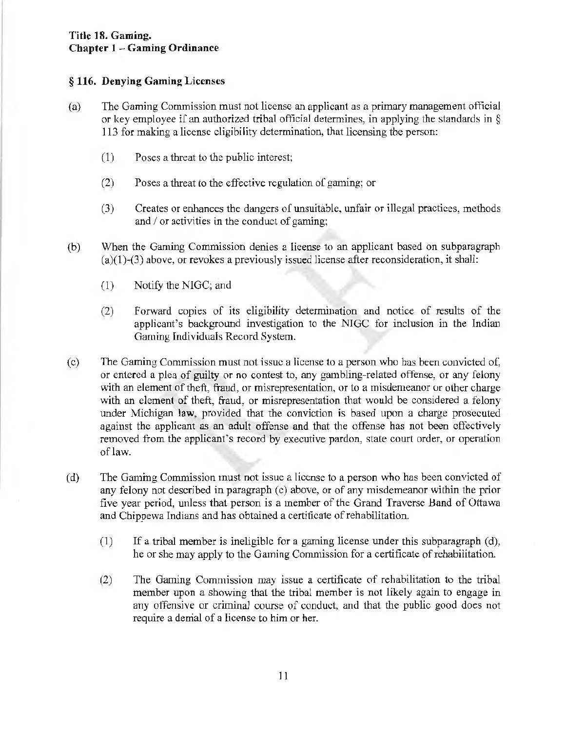#### § **116. Denying Gaming** Licenses

- (a) The Gaming Commission must not license an applicant as a primary management official or key employee if an authorized tribal official determines, in applying the standards in  $\S$ 113 for making a license eligibility determination, that licensing the person:
	- (1) Poses a threat to the public interest;
	- (2) Poses a threat to the effective regulation of gaming; or
	- (3) Creates or enhances the dangers of unsuitable, unfair or illegal practices, methods and  $\prime$  or activities in the conduct of gaming;
- (b) When the Gaming Commission denies a license to an applicant based on subparagraph  $(a)(1)-(3)$  above, or revokes a previously issued license after reconsideration, it shall:
	- (1) Notify the NIGC; and
	- (2) Forward copies of its eligibility determination and notice of results of the applicant's background investigation to the NJGC for inclusion in the Indian Gaming Individuals Record System.
- (c) The Gaming Commission must not issue a license to a person who has been convicted of: or entered a plea of guilty or no contest to, any gambling-related offense, or any felony with an element of theft, fraud, or misrepresentation, or to a misdemeanor or other charge with an element of theft, fraud, or misrepresentation that would be considered a felony under Michigan law, provided that the conviction is based upon a charge prosecuted against the applicant as an adult offense and that the offense has not been effectively removed from the applicant's record by executive pardon, state court order, or operation of law.
- (d) The Gaming Commission must not issue a license to a person who has been convicted of any felony not described in paragraph (c) above, or of any misdemeanor within the prior five year period, unless that person is a member of the Grand Traverse Band of Ottawa and Chippewa Indians and has obtained a certificate of rehabilitation.
	- $(1)$  If a tribal member is ineligible for a gaming license under this subparagraph  $(d)$ , he or she may apply to the Gaming Commission for a certificate of rehabilitation.
	- (2) The Gaming Commission may issue a certificate of rehabilitation to the tribal member upon a showing that the tribal member is not likely again to engage in any offensive or criminal course of conduct, and that the public good does not require a denial of a license to him or her.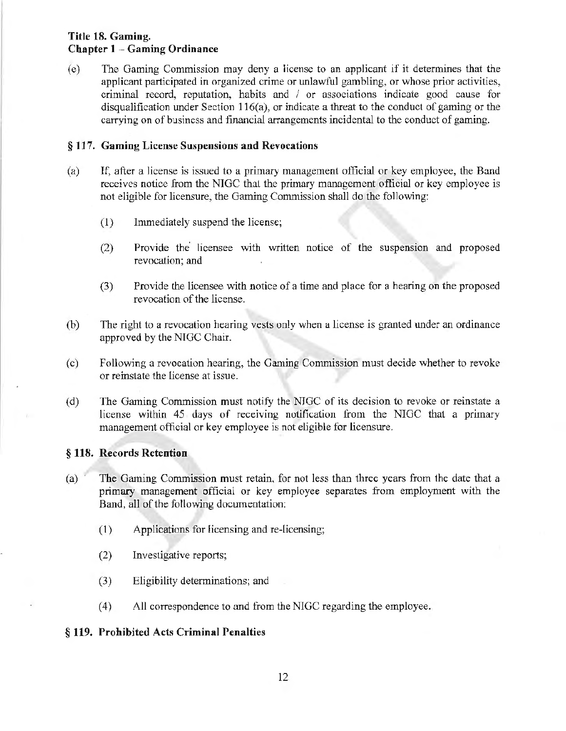( e) The Gaming Commission may deny a license to an applicant if it determines that the applicant participated in organized crime or unlawful gambling, or whose prior activities, criminal record, reputation, habits and / or associations indicate good cause for disqualification under Section 116(a), or indicate a threat to the conduct of gaming or the carrying on of business and financial arrangements incidental to the conduct of gaming.

#### § 117. Gaming License Suspensions and Revocations

- (a) If, after a license is issued to a primary management official or key employee, the Band receives notice from the NIGC that the primary management official or key employee is not eligible for licensure, the Gaming Commission shall do the following:
	- (1) Immediately suspend the license;
	- (2) Provide the· licensee with written notice of the suspension and proposed revocation; and
	- (3) Provide the licensee with notice of a time and place for a hearing on the proposed revocation of the license.
- (b) The right to a revocation hearing vests only when a license is granted under an ordinance approved by the NIGC Chair.
- (c) Following a revocation hearing, the Gaming Commission must decide whether to revoke or reinstate the license at issue.
- (d) The Gaming Commission must notify the NJGC of its decision to revoke or reinstate a license within 45 days of receiving notification from the NIGC that a primary management official or key employee is not eligible for licensure.

#### § 118. Records Retention

- (a) · The Gaming Conunission must retain, for not less than three years from the date that a primary management official or key employee separates from employment with the Band, all of the following documentation:
	- ( 1) Applications for licensing and re-licensing;
	- (2) Investigative reports;
	- (3) Eligibility determinations; and
	- ( 4) All correspondence to and from the NIGC regarding the employee.

#### § 119. Prohibited Acts Criminal Penalties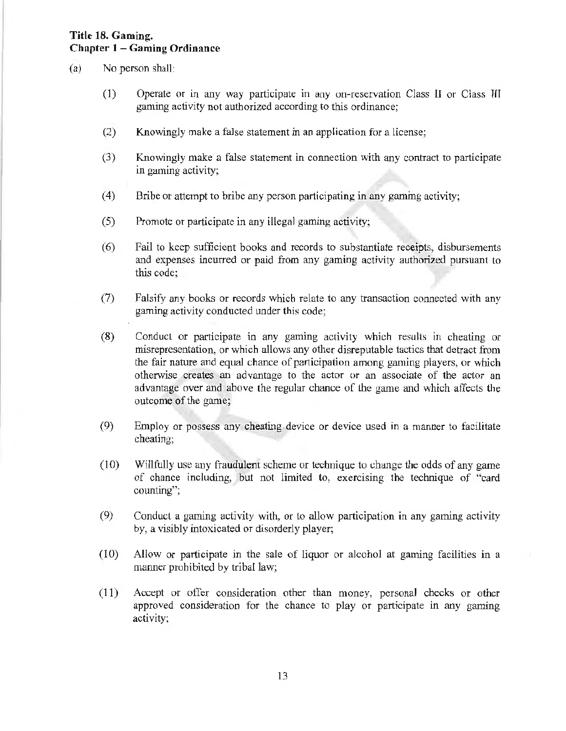- (a) No person shall:
	- (1) Operate or in any way participate in any on-reservation Class II or Class HI gaming activity not authorized according to this ordinance;
	- (2) Knowingly make a false statement in an application for a license;
	- (3) Knowingly make a false statement in connection with any contract to participate in gaming activity;
	- (4) Bribe or attempt to bribe any person participating in any gaming activity;
	- (5) Promote or participate in any illegal gaming activity;
	- (6) Fail to keep sufficient books and records to substantiate receipts, disbursements and expenses incurred or paid from any gaming activity authorized pursuant to this code;
	- (7) Falsify any books or records which relate to any transaction connected with any gaming activity conducted under this code;
	- (8) Conduct or participate in any gaming activity which results in cheating or misrepresentation, or which allows any other disreputable tactics that detract from the fair nature and equal chance of participation among gaming players, or which otherwise creates an advantage to the actor or an associate of the actor an advantage over and above the regular chance of the game and which affects the outcome of the game;
	- (9) Employ or possess any cheating device or device used in a manner to facilitate cheating;
	- (10) Willfully use any fraudulent scheme or technique to change the odds of any game of chance including, but not limited to, exercising the technique of "card counting";
	- (9) Conduct a gaming activity with, or to allow participation in any gaming activity by, a visibly intoxicated or disorderly player;
	- $(10)$  Allow or participate in the sale of liquor or alcohol at gaming facilities in a manner prohibited by tribal law;
	- (11) Accept or offer consideration other than money, personal checks or other approved consideration for the chance to play or participate in any gaming activity;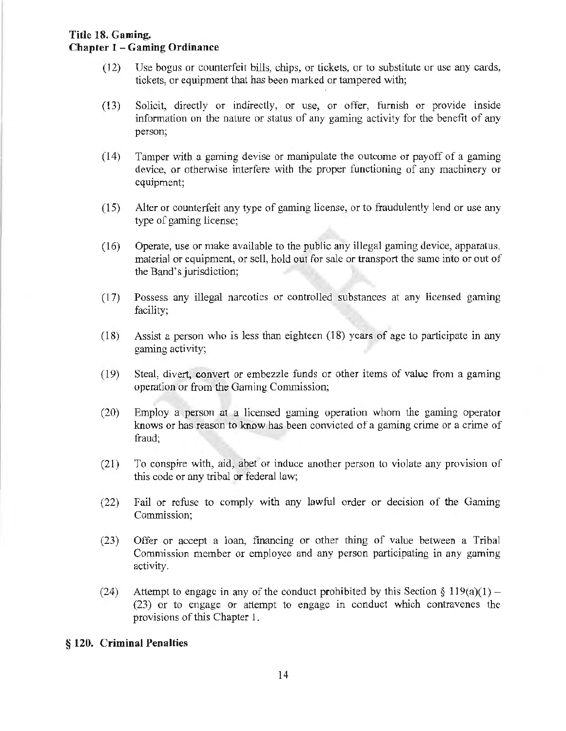- (12) Use bogus or counterfeit bills, chips, or tickets, or to substitute or use any cards, tickets, or equipment that has been marked or tampered with;
- (13) Solicit, directly or indirectly, or use, or offer, furnish or provide inside infonnation on the nature or status of any gaming activity for the benefit of any person;
- $(14)$  Tamper with a gaming devise or mampulate the outcome or payoff of a gaming device, or otherwise interfere with the proper functioning of any machinery or equipment;
- (15) Alter or counterfeit any type of gaming license, or to fraudulently lend or use any type of gaming license;
- (16) Operate, use or make available to the public any illegal gaming device, apparatus, material or equipment, or sell, hold out for sale or transport the same into or out of the Band's jurisdiction;
- (1 7) Possess any illegal narcotics or controlled substances at any licensed gaming facility;
- (18) Assist a person who is less than eighteen (18) years of age to participate in any gaming activity;
- (19) Steal, divert, convert or embezzle funds or other items of value from a gaming operation or from the Gaming Commission;
- (20) Employ a person at a licensed gaming operation whom the gaming operator knows or has reason to know has been convicted of a gaming crime or a crime of fraud;
- (21) To conspire with, aid, abet or induce another person to violate any provision of this code or any tribal or federal law;
- (22) Fail or refuse to comply with any lawful order or decision of the Gaming Commission;
- (23) Offer or accept a loan, financing or other thing of value between a Tribal Commission member or employee and any person participating in any gaming activity.
- (24) Attempt to engage in any of the conduct prohibited by this Section  $\S 119(a)(1)$  -(23) or to engage or attempt to engage in conduct which contravenes the provisions of this Chapter 1.

#### § **120. Criminal Penalties**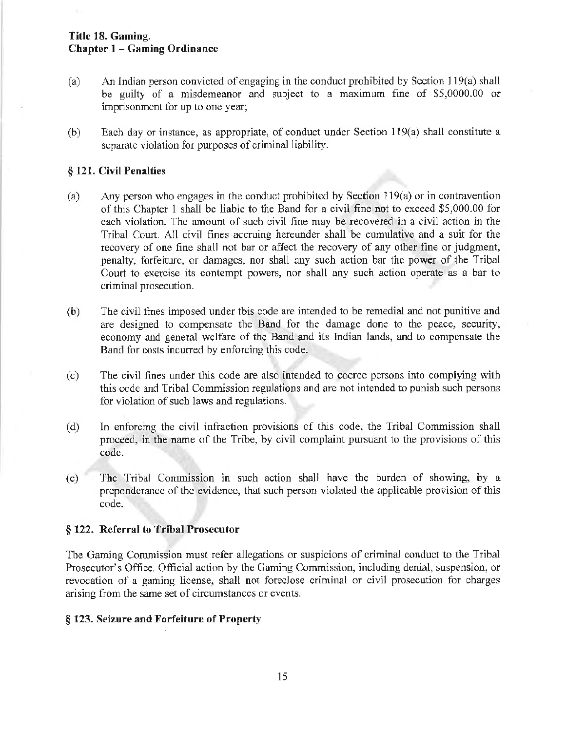- (a) An Indian person convicted of engaging in the conduct prohibited by Section l 19(a) shall be guilty of a misdemeanor and subject to a maximum fine of  $$5,0000.00$  or imprisonment for up to one year;
- (b) Each day or instance, as appropriate, of conduct under Section 1l9(a) shall constitute a separate violation for purposes of criminal liability.

#### § 121. Civil Penalties

- (a) Any person who engages in the conduct prohibited by Section 119(a) or in contravention of this Chapter 1 shall be liable to the Band for a civil fine not to exceed \$5,000.00 for each violation. The amount of such civil fine may be recovered in a civil action in the Tribal Court. All civil fines accruing hereunder shall be cumulative and a suit for the recovery of one fine shall not bar or affect the recovery of any other fine or judgment, penalty, forfeiture, or damages, nor shall any such action bar the power of the Tribal Court to exercise its contempt powers, nor shall any such action operate as a bar to criminal prosecution.
- $(b)$  The civil fines imposed under this code are intended to be remedial and not punitive and are designed to compensate the Band for the damage done to the peace, security, economy and general welfare of the Band and its Indian lands, and to compensate the Band for costs incurred by enforcing this code.
- (c) The civil fines under this code are also intended to coerce persons into complying with this code and Tribal Commission regulations and are not intended to punish such persons for violation of such laws and regulations.
- (d) In enforcing the civil infraction provisions of this code, the Tribal Commission shall proceed, in the name of the Tribe, by civil complaint pursuant to the provisions of this code.
- (e) The Tribal Commission in such action shall have the burden of showing, by a preponderance of the evidence, that such person violated the applicable provision of this code.

#### § 122. Referral to Tribal Prosecutor

The Gaming Commission must refer allegations or suspicions of criminal conduct to the Tribal Prosecutor's Office. Official action by the Gaming Commission, including denial, suspension, or revocation of a gaming license, shall not foreclose criminal or civil prosecution for charges arising from the same set of circwnstances or events,

#### § 123. Seizure and Forfeiture of Property